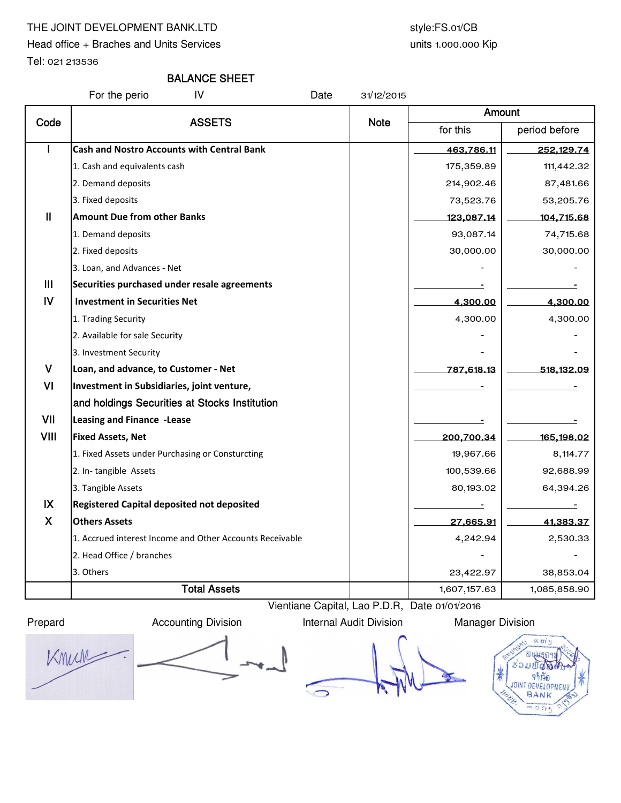# THE JOINT DEVELOPMENT BANK.LTD style:FS.01/CB

Head office + Braches and Units Services

Tel: 021 213536

# units 1.000.000 Kip

# BALANCE SHEET

For the perio IV Date 31/12/2015

| Code           | <b>ASSETS</b>                                            |             | Amount                   |               |  |
|----------------|----------------------------------------------------------|-------------|--------------------------|---------------|--|
|                |                                                          | <b>Note</b> | for this                 | period before |  |
| $\overline{1}$ | <b>Cash and Nostro Accounts with Central Bank</b>        |             | 463,786.11               | 252,129.74    |  |
|                | 1. Cash and equivalents cash                             |             | 175,359.89               | 111,442.32    |  |
|                | 2. Demand deposits                                       |             | 214,902.46               | 87,481.66     |  |
|                | 3. Fixed deposits                                        |             | 73,523.76                | 53,205.76     |  |
| $\mathbf{II}$  | <b>Amount Due from other Banks</b>                       |             | 123,087.14               | 104,715.68    |  |
|                | 1. Demand deposits                                       |             | 93,087.14                | 74,715.68     |  |
|                | 2. Fixed deposits                                        |             | 30,000.00                | 30,000.00     |  |
|                | 3. Loan, and Advances - Net                              |             |                          |               |  |
| III            | Securities purchased under resale agreements             |             |                          |               |  |
| $\mathsf{IV}$  | <b>Investment in Securities Net</b>                      |             | 4,300.00                 | 4,300.00      |  |
|                | 1. Trading Security                                      |             | 4,300.00                 | 4,300.00      |  |
|                | 2. Available for sale Security                           |             |                          |               |  |
|                | 3. Investment Security                                   |             |                          |               |  |
| $\mathsf{V}$   | Loan, and advance, to Customer - Net                     |             | 787,618.13               | 518,132.09    |  |
| VI             | Investment in Subsidiaries, joint venture,               |             |                          |               |  |
|                | and holdings Securities at Stocks Institution            |             |                          |               |  |
| VII            | Leasing and Finance -Lease                               |             |                          |               |  |
| <b>VIII</b>    | <b>Fixed Assets, Net</b>                                 |             | 200,700.34               | 165,198.02    |  |
|                | 1. Fixed Assets under Purchasing or Consturcting         |             | 19,967.66                | 8,114.77      |  |
|                | 2. In-tangible Assets                                    |             | 100,539.66               | 92,688.99     |  |
|                | 3. Tangible Assets                                       |             | 80,193.02                | 64,394.26     |  |
| IX             | Registered Capital deposited not deposited               |             | $\overline{\phantom{a}}$ | ۰             |  |
| $\mathsf{X}$   | <b>Others Assets</b>                                     |             | 27,665.91                | 41,383.37     |  |
|                | 1. Accrued interest Income and Other Accounts Receivable |             | 4,242.94                 | 2,530.33      |  |
|                | 2. Head Office / branches                                |             |                          |               |  |
|                | 3. Others                                                |             | 23,422.97                | 38,853.04     |  |
|                | <b>Total Assets</b>                                      |             | 1,607,157.63             | 1,085,858.90  |  |

Prepard **Accounting Division** Internal Audit Division Manager Division

Vientiane Capital, Lao P.D.R, Date 01/01/2016

Knun

 $\overline{\phantom{a}}$ 

 $\subseteq$ 

SC 211  $512$  $521$ จาห้อ BANK  $-500$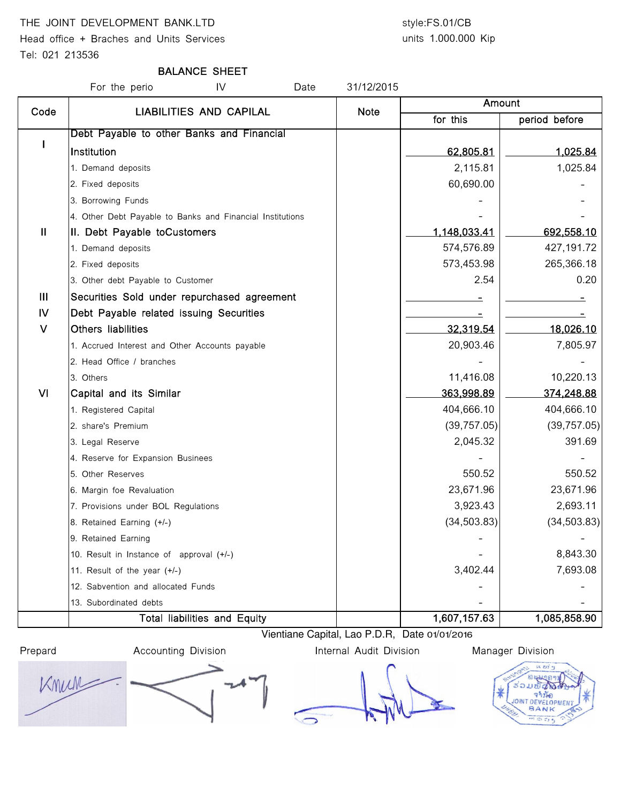# THE JOINT DEVELOPMENT BANK.LTD style:FS.01/CB

Head office + Braches and Units Services

### Tel: 021 213536

# units 1.000.000 Kip

# BALANCE SHEET

For the perio **IV** Date 31/12/2015 for this | period before I Debt Payable to other Banks and Financial Institution 62,805.81 1,025.84 1. Demand deposits 1,025.84 2. Fixed deposits 60,690.00  $\sim$  60,690.00 3. Borrowing Funds 4. Other Debt Payable to Banks and Financial Institutions II |II. Debt Payable toCustomers 1,148,033.41 692,558.10 1. Demand deposits 574,576.89 427,191.72 2. Fixed deposits 573,453.98 265,366.18 3. Other debt Payable to Customer 2.54 contract to Customer 2.54 contract 2.54 contract 2.54 contract 3.20 III Securities Sold under repurchased agreement - - IV Debt Payable related issuing Securities And Allen Manuscription and Theorem Allen Manuscription and Allen A V Others liabilities 32,319.54 18,026.10 1. Accrued Interest and Other Accounts payable 20,903.46 7,805.97 2. Head Office / branches 3. Others 11,416.08 **10,220.13** 10,220.13 Amount Code | LIABILITIES AND CAPILAL | Note VI Capital and its Similar 363,998.89 374,248.88 1. Registered Capital 1. **Alternative Capital 1. Alternative Capital 1. Alternative Capital 404,666.10** 404,666.10 2. share's Premium (39,757.05) (39,757.05) 3. Legal Reserve 2,045.32 391.69 4. Reserve for Expansion Businees 5. Other Reserves 550.52 550.52 6. Margin foe Revaluation 23,671.96 23,671.96 7. Provisions under BOL Regulations 3,923.43 2,693.11 8. Retained Earning (+/-) (34,503.83) 9. Retained Earning 10. Result in Instance of approval  $(+/-)$   $\qquad \qquad$   $\qquad \qquad$   $\qquad \qquad$   $\qquad \qquad$   $\qquad \qquad$   $\qquad \qquad$   $\qquad \qquad$  8,843.30 11. Result of the year (+/-)  $\qquad \qquad$  3,402.44 7,693.08 12. Sabvention and allocated Funds 13. Subordinated debts Total liabilities and Equity 1,607,157.63 1,085,858.90

Vientiane Capital, Lao P.D.R, Date 01/01/2016

Prepard **Accounting Division Internal Audit Division** Manager Division

Knum



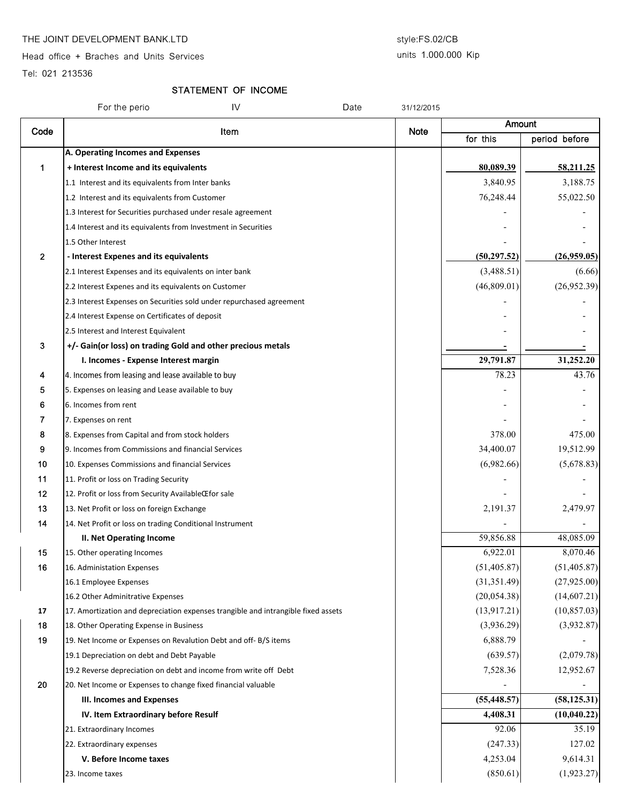### THE JOINT DEVELOPMENT BANK.LTD style:FS.02/CB

Head office + Braches and Units Services

## units 1.000.000 Kip

Tel: 021 213536

# STATEMENT OF INCOME

|              | IV<br>Date<br>For the perio                                                       | 31/12/2015  |              |               |
|--------------|-----------------------------------------------------------------------------------|-------------|--------------|---------------|
| Code         | Item                                                                              | <b>Note</b> | Amount       |               |
|              |                                                                                   |             | for this     | period before |
|              | A. Operating Incomes and Expenses                                                 |             |              |               |
| 1            | + Interest Income and its equivalents                                             |             | 80,089.39    | 58,211.25     |
|              | 1.1 Interest and its equivalents from Inter banks                                 |             | 3,840.95     | 3,188.75      |
|              | 1.2 Interest and its equivalents from Customer                                    |             | 76,248.44    | 55,022.50     |
|              | 1.3 Interest for Securities purchased under resale agreement                      |             |              |               |
|              | 1.4 Interest and its equivalents from Investment in Securities                    |             |              |               |
|              | 1.5 Other Interest                                                                |             |              |               |
| $\mathbf{2}$ | - Interest Expenes and its equivalents                                            |             | (50, 297.52) | (26,959.05)   |
|              | 2.1 Interest Expenses and its equivalents on inter bank                           |             | (3,488.51)   | (6.66)        |
|              | 2.2 Interest Expenes and its equivalents on Customer                              |             | (46,809.01)  | (26,952.39)   |
|              | 2.3 Interest Expenses on Securities sold under repurchased agreement              |             |              |               |
|              | 2.4 Interest Expense on Certificates of deposit                                   |             |              |               |
|              | 2.5 Interest and Interest Equivalent                                              |             |              |               |
| 3            | +/- Gain(or loss) on trading Gold and other precious metals                       |             |              |               |
|              | I. Incomes - Expense Interest margin                                              |             | 29,791.87    | 31,252.20     |
| 4            | 4. Incomes from leasing and lease available to buy                                |             | 78.23        | 43.76         |
| 5            | 5. Expenses on leasing and Lease available to buy                                 |             |              |               |
| 6            | 6. Incomes from rent                                                              |             |              |               |
| 7            | 7. Expenses on rent                                                               |             |              |               |
| 8            | 8. Expenses from Capital and from stock holders                                   |             | 378.00       | 475.00        |
| 9            | 9. Incomes from Commissions and financial Services                                |             | 34,400.07    | 19,512.99     |
| 10           | 10. Expenses Commissions and financial Services                                   |             | (6,982.66)   | (5,678.83)    |
| 11           | 11. Profit or loss on Trading Security                                            |             |              |               |
| 12           | 12. Profit or loss from Security AvailableCEfor sale                              |             |              |               |
| 13           | 13. Net Profit or loss on foreign Exchange                                        |             | 2,191.37     | 2,479.97      |
| 14           | 14. Net Profit or loss on trading Conditional Instrument                          |             |              |               |
|              | <b>II. Net Operating Income</b>                                                   |             | 59,856.88    | 48,085.09     |
| 15           | 15. Other operating Incomes                                                       |             | 6,922.01     | 8,070.46      |
| 16           | 16. Administation Expenses                                                        |             | (51, 405.87) | (51, 405.87)  |
|              | 16.1 Employee Expenses                                                            |             | (31, 351.49) | (27, 925.00)  |
|              | 16.2 Other Adminitrative Expenses                                                 |             | (20, 054.38) | (14,607.21)   |
| 17           | 17. Amortization and depreciation expenses trangible and intrangible fixed assets |             | (13, 917.21) | (10, 857.03)  |
| 18           | 18. Other Operating Expense in Business                                           |             | (3,936.29)   | (3,932.87)    |
| 19           | 19. Net Income or Expenses on Revalution Debt and off-B/S items                   |             | 6,888.79     |               |
|              | 19.1 Depreciation on debt and Debt Payable                                        |             | (639.57)     | (2,079.78)    |
|              | 19.2 Reverse depreciation on debt and income from write off Debt                  |             | 7,528.36     | 12,952.67     |
| 20           | 20. Net Income or Expenses to change fixed financial valuable                     |             |              |               |
|              | III. Incomes and Expenses                                                         |             | (55, 448.57) | (58, 125.31)  |
|              | IV. Item Extraordinary before Resulf                                              |             | 4,408.31     | (10, 040.22)  |
|              | 21. Extraordinary Incomes                                                         |             | 92.06        | 35.19         |
|              | 22. Extraordinary expenses                                                        |             | (247.33)     | 127.02        |
|              | V. Before Income taxes                                                            |             | 4,253.04     | 9,614.31      |
|              | 23. Income taxes                                                                  |             | (850.61)     | (1,923.27)    |
|              |                                                                                   |             |              |               |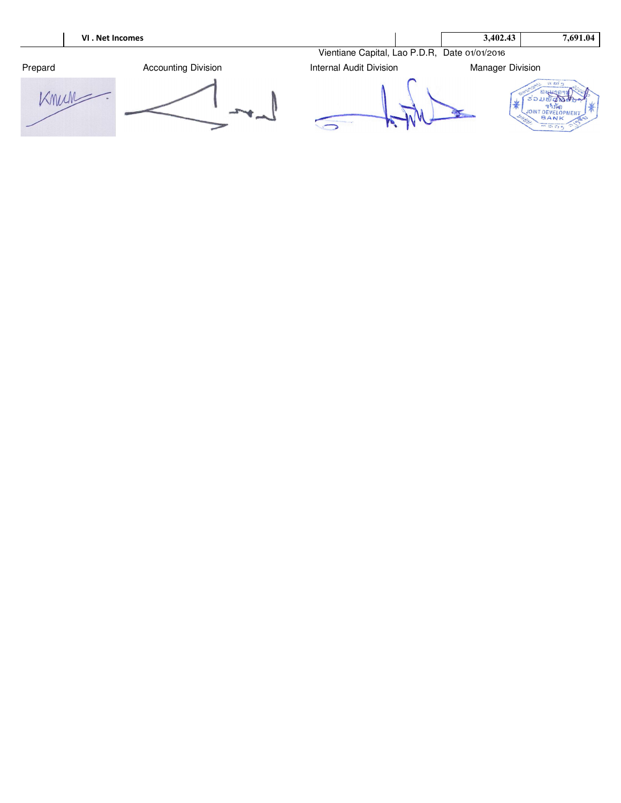|         | VI. Net Incomes            |                                               | 3,402.43                | 7,691.04                                                                                          |
|---------|----------------------------|-----------------------------------------------|-------------------------|---------------------------------------------------------------------------------------------------|
|         |                            | Vientiane Capital, Lao P.D.R, Date 01/01/2016 |                         |                                                                                                   |
| Prepard | <b>Accounting Division</b> | <b>Internal Audit Division</b>                | <b>Manager Division</b> |                                                                                                   |
|         |                            |                                               |                         | SC 237 PL<br>BANK<br><b>PER</b><br><b><i><u>Information and Commercial Africa</u></i></b><br>55.5 |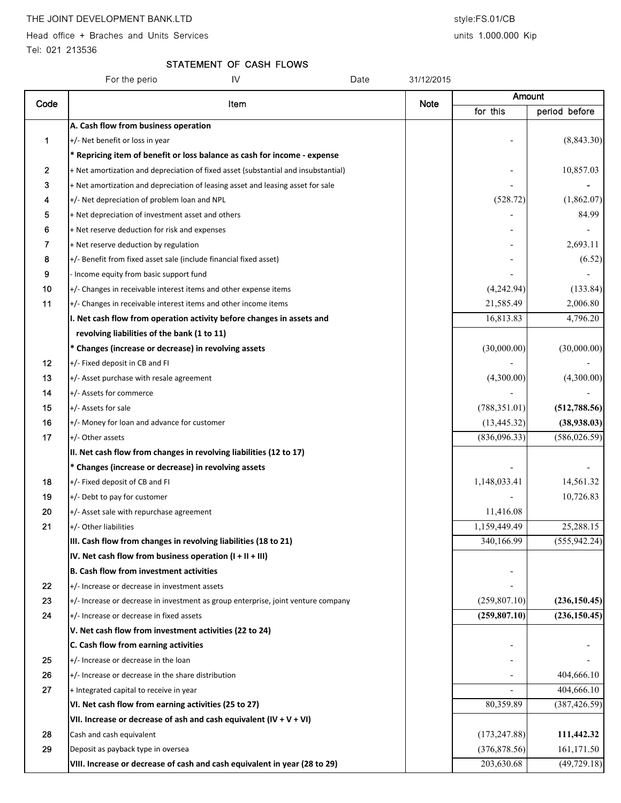Head office + Braches and Units Services and Units 1.000.000 Kip

Tel: 021 213536

# STATEMENT OF CASH FLOWS

|              | IV<br>For the perio<br>Date                                                        | 31/12/2015  |               |               |
|--------------|------------------------------------------------------------------------------------|-------------|---------------|---------------|
| Code         | Item                                                                               | <b>Note</b> | Amount        |               |
|              |                                                                                    |             | for this      | period before |
|              | A. Cash flow from business operation                                               |             |               |               |
| 1            | +/- Net benefit or loss in year                                                    |             |               | (8, 843.30)   |
|              | * Repricing item of benefit or loss balance as cash for income - expense           |             |               |               |
| $\mathbf{2}$ | + Net amortization and depreciation of fixed asset (substantial and insubstantial) |             |               | 10,857.03     |
| 3            | + Net amortization and depreciation of leasing asset and leasing asset for sale    |             |               |               |
| 4            | +/- Net depreciation of problem loan and NPL                                       |             | (528.72)      | (1,862.07)    |
| 5            | + Net depreciation of investment asset and others                                  |             |               | 84.99         |
| 6            | + Net reserve deduction for risk and expenses                                      |             |               |               |
| 7            | + Net reserve deduction by regulation                                              |             |               | 2,693.11      |
| 8            | +/- Benefit from fixed asset sale (include financial fixed asset)                  |             |               | (6.52)        |
| 9            | - Income equity from basic support fund                                            |             |               |               |
| 10           | +/- Changes in receivable interest items and other expense items                   |             | (4,242.94)    | (133.84)      |
| 11           | +/- Changes in receivable interest items and other income items                    |             | 21,585.49     | 2,006.80      |
|              | I. Net cash flow from operation activity before changes in assets and              |             | 16,813.83     | 4,796.20      |
|              | revolving liabilities of the bank (1 to 11)                                        |             |               |               |
|              | * Changes (increase or decrease) in revolving assets                               |             | (30,000.00)   | (30,000.00)   |
| 12           | +/- Fixed deposit in CB and FI                                                     |             |               |               |
| 13           | +/- Asset purchase with resale agreement                                           |             | (4,300.00)    | (4,300.00)    |
| 14           | +/- Assets for commerce                                                            |             |               |               |
| 15           | +/- Assets for sale                                                                |             | (788, 351.01) | (512, 788.56) |
| 16           | +/- Money for loan and advance for customer                                        |             | (13, 445.32)  | (38,938.03)   |
| 17           | +/- Other assets                                                                   |             | (836,096.33)  | (586, 026.59) |
|              | II. Net cash flow from changes in revolving liabilities (12 to 17)                 |             |               |               |
|              | * Changes (increase or decrease) in revolving assets                               |             |               |               |
| 18           | +/- Fixed deposit of CB and FI                                                     |             | 1,148,033.41  | 14,561.32     |
| 19           | +/- Debt to pay for customer                                                       |             |               | 10,726.83     |
| 20           | +/- Asset sale with repurchase agreement                                           |             | 11,416.08     |               |
| 21           | +/- Other liabilities                                                              |             | 1,159,449.49  | 25,288.15     |
|              | III. Cash flow from changes in revolving liabilities (18 to 21)                    |             | 340,166.99    | (555, 942.24) |
|              | IV. Net cash flow from business operation $(I + II + III)$                         |             |               |               |
|              | <b>B. Cash flow from investment activities</b>                                     |             |               |               |
| 22           | +/- Increase or decrease in investment assets                                      |             |               |               |
| 23           | +/- Increase or decrease in investment as group enterprise, joint venture company  |             | (259, 807.10) | (236, 150.45) |
| 24           | +/- Increase or decrease in fixed assets                                           |             | (259, 807.10) | (236, 150.45) |
|              | V. Net cash flow from investment activities (22 to 24)                             |             |               |               |
|              | C. Cash flow from earning activities                                               |             |               |               |
| 25           | +/- Increase or decrease in the loan                                               |             |               |               |
| 26           | $+/-$ Increase or decrease in the share distribution                               |             |               | 404,666.10    |
| 27           | + Integrated capital to receive in year                                            |             |               | 404,666.10    |
|              | VI. Net cash flow from earning activities (25 to 27)                               |             | 80,359.89     | (387, 426.59) |
|              | VII. Increase or decrease of ash and cash equivalent $(IV + V + VI)$               |             |               |               |
| 28           | Cash and cash equivalent                                                           |             | (173, 247.88) | 111,442.32    |
| 29           | Deposit as payback type in oversea                                                 |             | (376, 878.56) | 161,171.50    |
|              | VIII. Increase or decrease of cash and cash equivalent in year (28 to 29)          |             | 203,630.68    | (49, 729.18)  |